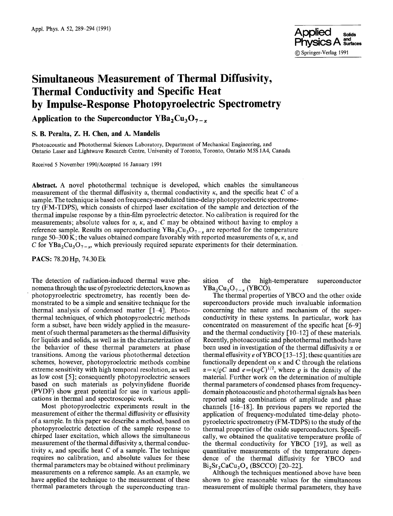

# **Simultaneous Measurement of Thermal Diffusivity, Thermal Conductivity and Specific Heat by Impulse-Response Photopyroelectric Spectrometry**

## Application to the Superconductor  $YBa<sub>2</sub>Cu<sub>3</sub>O<sub>7-x</sub>$

#### **S. B. Peralta, Z. H. Chen, and A. Mandelis**

Photoacoustic and Photothermal Sciences Laboratory, Department of Mechanical Engineering, and Ontario Laser and Lightwave Research Centre, University of Toronto, Toronto, Ontario M5S 1A4, Canada

Received 5 November 1990/Accepted 16 January 1991

**Abstract.** A novel photothermal technique is developed, which enables the simultaneous measurement of the thermal diffusivity  $\alpha$ , thermal conductivity  $\kappa$ , and the specific heat C of a sample. The technique is based on frequency-modulated time-delay photopyroelectric spectrometry (FM-TDPS), which consists of chirped laser excitation of the sample and detection of the thermal impulse response by a thin-film pyroelectric detector. No calibration is required for the measurements; absolute values for  $\alpha$ ,  $\kappa$ , and C may be obtained without having to employ a reference sample. Results on superconducting  $YBa<sub>2</sub>Cu<sub>3</sub>O<sub>7-x</sub>$  are reported for the temperature range 50–300 K; the values obtained compare favorably with reported measurements of  $\alpha$ ,  $\kappa$ , and C for YBa<sub>2</sub>Cu<sub>3</sub>O<sub>7-x</sub>, which previously required separate experiments for their determination.

**PACS:** 78.20 Hp, 74.30 Ek

The detection of radiation-induced thermal wave phenomena through the use of pyroelectric detectors, known as • photopyroelectric spectrometry, has recently been demonstrated to be a simple and sensitive technique for the thermal analysis of condensed matter [1-4]. Photothermal techniques, of which photopyroelectric methods form a subset, have been widely applied in the measurement of such thermal parameters as the thermal diffusivity for liquids and solids, as well as in the characterization of the behavior of these thermal parameters at phase transitions. Among the various photothermal detection schemes, however, photopyroelectric methods combine extreme sensitivity with high temporal resolution, as well as low cost [5]; consequently photopyroelectric sensors based on such materials as polyvinylidene fluoride (PVDF) show great potential for use in various applications in thermal and spectroscopic work.

Most photopyroelectric experiments result in the measurement of either the thermal diffusivity or effusivity of a sample. In this paper we describe a method, based on photopyroelectric detection of the sample response to chirped laser excitation, which allows the simultaneous measurement of the thermal diffusivity  $\alpha$ , thermal conductivity  $\kappa$ , and specific heat C of a sample. The technique requires no calibration, and absolute values for these thermal parameters may be obtained without preliminary measurements on a reference sample. As an example, we have applied the technique to the measurement of these thermal parameters through the superconducting transition of the high-temperature superconductor  $YBa<sub>2</sub>Cu<sub>3</sub>O<sub>7-x</sub> (YBCO).$ 

The thermal properties of YBCO and the other oxide superconductors provide much invaluable information concerning the nature and mechanism of the superconductivity in these systems. In particular, work has concentrated on measurement of the specific heat  $[6-9]$ and the thermal conductivity [10-12] of these materials. Recently, photoacoustic and photothermal methods have been used in investigation of the thermal diffusivity  $\alpha$  or thermal effusivity  $e$  of YBCO [13-15]; these quantities are functionally dependent on  $\kappa$  and C through the relations  $\alpha = \kappa/\varrho C$  and  $e = (\kappa \varrho C)^{1/2}$ , where  $\varrho$  is the density of the material. Further work on the determination of multiple thermal parameters of condensed phases from frequencydomain photoaeoustic and photothermal signals has been reported using combinations of amplitude and phase channels  $[16-18]$ . In previous papers we reported the application of frequency-modulated time-delay photopyroelectric spectrometry (FM-TDPS) to the study of the thermal properties of the oxide superconductors. Specifically, we obtained the qualitative temperature profile of the thermal conductivity for YBCO [19], as well as quantitative measurements of the temperature dependence of the thermal diffusivity for YBCO and  $Bi<sub>2</sub>Sr<sub>2</sub>CaCu<sub>2</sub>O<sub>x</sub>$  (BSCCO) [20-22].

Although the techniques mentioned above have been shown to give reasonable values for the simultaneous measurement of multiple thermal parameters, they have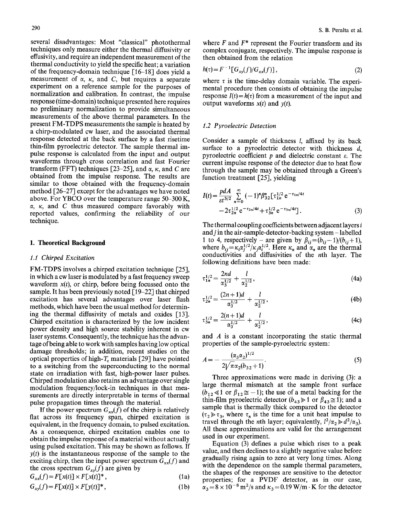several disadvantages: Most "classical" photothermal techniques only measure either the thermal diffusivity or effusivity, and require an independent measurement of the thermal conductivity to yield the specific heat; a variation of the frequency-domain technique [16-18] does yield a measurement of  $\alpha$ ,  $\kappa$ , and  $C$ , but requires a separate experiment on a reference sample for the purposes of normalization and calibration. In contrast, the impulse response (time-domain) technique presented here requires no preliminary normalization to provide simultaneous measurements of the above thermal parameters. In the present FM-TDPS measurements the sample is heated by a chirp-modulated cw laser, and the associated thermal response detected at the back surface by a fast risetime thin-film pyroelectric detector. The sample thermal impulse response is calculated from the input and output waveforms through cross correlation and fast Fourier transform (FFT) techniques [23-25], and  $\alpha$ ,  $\kappa$ , and C are obtained from the impulse response. The results are similar to those obtained with the frequency-domain method [26-27] except for the advantages we have noted above. For YBCO over the temperature range 50-300 K,  $\alpha$ ,  $\kappa$ , and C thus measured compare favorably with reported values, confirming the reliability of our technique.

#### **1. Theoretical Background**

#### *1.1 Chirped Excitation*

FM-TDPS involves a chirped excitation technique [25], in which a cw laser is modulated by a fast frequency sweep waveform  $x(t)$ , or chirp, before being focussed onto the sample. It has been previously noted [19-22] that chirped excitation has several advantages over laser flash methods, which have been the usual method for determining the thermal diffusivity of metals and oxides [13]. Chirped excitation is characterized by the low incident power density and high source stability inherent in cw laser systems. Consequently, the technique has the advantage of being able to work with samples having low optical damage thresholds; in addition, recent studies on the optical properties of high- $T_{\rm c}$  materials [29] have pointed to a switching from the superconducting to the normal state on irradiation with fast, high-power laser pulses. Chirped modulation also retains an advantage over single modulation frequency/lock-in techniques in that measurements are directly interpretable in terms of thermal pulse propagation times through the material.

If the power spectrum  $G_{xx}(f)$  of the chirp is relatively flat across its frequency span, chirped excitation is equivalent, in the frequency domain, to pulsed excitation. As a consequence, chirped excitation enables one to obtain the impulse response of a material without actually using pulsed excitation. This may be shown as follows. If  $y(t)$  is the instantaneous response of the sample to the exciting chirp, then the input power spectrum  $G_{xx}(f)$  and the cross spectrum  $G_{xy}(f)$  are given by

$$
G_{xx}(f) = F[x(t)] \times F[x(t)]^*, \qquad (1a)
$$

$$
G_{xy}(f) = F[x(t)] \times F[y(t)]^*,\tag{1b}
$$

where  $F$  and  $F^*$  represent the Fourier transform and its complex conjugate, respectively. The impulse response is then obtained from the relation

$$
h(\tau) = F^{-1}[G_{xy}(f)/G_{xx}(f)],\qquad(2)
$$

where  $\tau$  is the time-delay domain variable. The experimental procedure then consists of obtaining the impulse response  $I(t) = h(\tau)$  from a measurement of the input and output waveforms *x(t)* and *y(t).* 

#### *1.2 Pyroelectric Detection*

Consider a sample of thickness I, affixed by its back surface to a pyroelectric detector with thickness  $d$ , pyroelectric coefficient  $p$  and dielectric constant  $\varepsilon$ . The current impulse response of the detector due to heat flow through the sample may be obtained through a Green's function treatment [25], yielding

$$
I(t) = \frac{pdA}{\varepsilon t^{3/2}} \sum_{n=0}^{\infty} (-1)^n \beta_{32}^n \left[ \tau_{1n}^{1/2} e^{-\tau_{1n}/4t} - 2\tau_{2n}^{1/2} e^{-\tau_{2n}/4t} + \tau_{3n}^{1/2} e^{-\tau_{3n}/4t} \right].
$$
\n(3)

The thermal coupling coefficients between adjacent layers i and  $j$  in the air-sample-detector-backing system  $-$  labelled 1 to 4, respectively – are given by  $\beta_{ij}=(b_{ij}-1)/(b_{ij}+1)$ , where  $b_{ij} = \kappa_i \alpha_i^{1/2} / \kappa_j \alpha_i^{1/2}$ . Here  $\kappa_n$  and  $\alpha_n$  are the thermal conductivities and diffusivities of the nth layer. The following definitions have been made:

$$
\tau_{1n}^{1/2} = \frac{2nd}{\alpha_3^{1/2}} + \frac{l}{\alpha_2^{1/2}},
$$
\n(4a)

$$
\tau_{2n}^{1/2} = \frac{(2n+1)d}{\alpha_3^{1/2}} + \frac{l}{\alpha_2^{1/2}},
$$
\n(4b)

$$
\tau_{3n}^{1/2} = \frac{2(n+1)d}{\alpha_3^{1/2}} + \frac{l}{\alpha_2^{1/2}},
$$
\n(4c)

and A is a constant incorporating the static thermal properties of the sample-pyroelectric system:

$$
A = -\frac{(\alpha_3 \alpha_2)^{1/2}}{2\sqrt{\pi} \alpha_2 (b_{32} + 1)}.
$$
 (5)

Three approximations were made in deriving (3): a large thermal mismatch at the sample front surface  $(b_{12} \ll 1 \text{ or } \beta_{12} \approx -1)$ ; the use of a metal backing for the thin-film pyroelectric detector  $(b_{43} \ge 1)$  or  $\beta_{43} \ge 1$ ); and a sample that is thermally thick compared to the detector  $(\tau_2 \gg \tau_3)$ , where  $\tau_n$  is the time for a unit heat impulse to travel through the *n*th layer; equivalently,  $l^2/\alpha_2 \gg d^2/\alpha_3$ ). All these approximations are valid for the arrangement used in our experiment.

Equation (3) defines a pulse which rises to a peak value, and then declines to a slightly negative value before gradually rising again to zero at very long times. Along with the dependence on the sample thermal parameters, the shapes of the responses are sensitive to the detector properties; for a PVDF detector, as in our case,  $\alpha_3 = 8 \times 10^{-8}$  m<sup>2</sup>/s and  $\kappa_3 = 0.19$  W/m  $\cdot$  K for the detector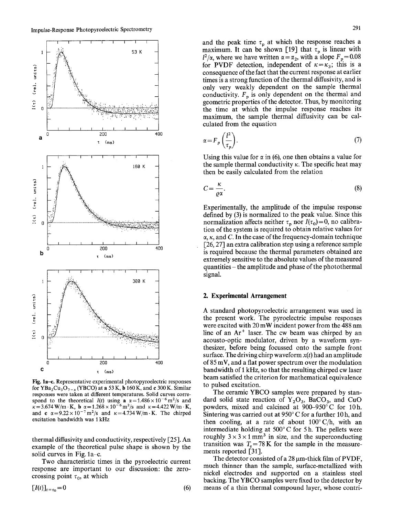

Fig. la-c. Representative experimental photopyroelectric responses for YBa<sub>2</sub>Cu<sub>3</sub>O<sub>7-x</sub> (YBCO) at a 53 K, b 160 K, and c 300 K. Similar responses were taken at different temperatures. Solid curves correspond to the theoretical *I(t)* using a  $\alpha = 1.486 \times 10^{-6}$  m<sup>2</sup>/s and  $\kappa = 3.674 \text{ W/m} \cdot \text{K}$ , **b**  $\alpha = 1.268 \times 10^{-6} \text{ m}^2/\text{s}$  and  $\kappa = 4.422 \text{ W/m} \cdot \text{K}$ , and c  $\alpha = 9.22 \times 10^{-7}$  m<sup>2</sup>/s and  $\kappa = 4.734$  W/m·K. The chirped excitation bandwidth was I kHz

thermal diffusivity and conductivity, respectively [25]. An example of the theoretical pulse shape is shown by the solid curves in Fig.  $1a-c$ .

Two characteristic times in the pyroelectric current response are important to our discussion: the zerocrossing point  $\tau_0$ , at which

$$
\left[I(t)\right]_{t=\tau_0}=0\tag{6}
$$

and the peak time  $\tau_n$  at which the response reaches a maximum. It can be shown [19] that  $\tau_p$  is linear with  $I^2/\alpha$ , where we have written  $\alpha = \alpha_2$ , with a slope  $F_p = 0.08$ for PVDF detection, independent of  $\kappa = \kappa_3$ ; this is a consequence of the fact that the current response at earlier times is a strong function of the thermal diffusivity, and is only very weakly dependent on the sample thermal conductivity.  $F_p$  is only dependent on the thermal and geometric properties of the detector. Thus, by monitoring the time at which the impulse response reaches its maximum, the sample thermal diffusivity can be calculated from the equation

$$
\alpha = F_p \left( \frac{l^2}{\tau_p} \right). \tag{7}
$$

Using this value for  $\alpha$  in (6), one then obtains a value for the sample thermal conductivity  $\kappa$ . The specific heat may then be easily calculated from the relation

$$
C = \frac{\kappa}{\varrho \alpha}.\tag{8}
$$

Experimentally, the amplitude of the impulse response defined by (3) is normalized to the peak value. Since this normalization affects neither  $\tau_p$  nor  $I(\tau_0)=0$ , no calibration of the system is required to obtain relative values for  $\alpha$ ,  $\kappa$ , and C. In the case of the frequency-domain technique  $[26, 27]$  an extra calibration step using a reference sample is required because the thermal parameters obtained are extremely sensitive to the absolute values of the measured quantities - the amplitude and phase of the photothermal signal.

#### **2. Experimental Arrangement**

A standard photopyroelectric arrangement was used in the present work. The pyroelectric impulse responses were excited with 20 mW incident power from the 488 nm line of an  $Ar<sup>+</sup>$  laser. The cw beam was chirped by an acousto-optic modulator, driven by a waveform synthesizer, before being focussed onto the sample front surface. The driving chirp waveform *x(t)* had an amplitude of 85 mV, and a flat power spectrum over the modulation bandwidth of I kHz, so that the resulting chirped cw laser beam satisfied the criterion for mathematical equivalence to pulsed excitation.

The ceramic YBCO samples were prepared by standard solid state reaction of  $Y_2O_3$ , BaCO<sub>3</sub>, and CuO powders, mixed and calcined at 900-950°C for 10h. Sintering was carried out at  $950^{\circ}$  C for a further 10 h, and then cooling, at a rate of about  $100^{\circ}$  C/h, with an intermediate holding at 500°C for 5 h. The pellets were roughly  $3 \times 3 \times 1$  mm<sup>3</sup> in size, and the superconducting transition was  $T_c$ =78 K for the sample in the measurements reported [31].

The detector consisted of a  $28 \mu$ m-thick film of PVDF, much thinner than the sample, surface-metallized with nickel electrodes and supported on a stainless steel backing. The YBCO samples were fixed to the detector by means of a thin thermal compound layer, whose contri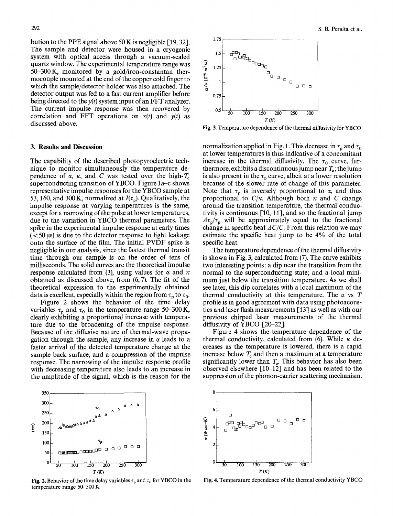bution to the PPE signal above 50 K is negligible [19, 32]. The sample and detector were housed in a cryogenic system with optical access through a vacuum-sealed quartz window. The experimental temperature range was 50-300K, monitored by a gold/iron-constantan thermocouple mounted at the end of the copper cold finger to which the sample/detector holder was also attached. The detector output was fed to a fast current amplifier before being directed to the *y(t)* system input of an FFT analyzer. The current impulse response was then recovered by correlation and FFT operations on *x(t)* and *y(t)* as discussed above.

#### **3. Results and Discussion**

The capability of the described photopyroelectric technique to monitor simultaneously the temperature dependence of  $\alpha$ ,  $\kappa$ , and C was tested over the high-T<sub>c</sub> superconducting transition of YBCO. Figure  $1a$ -c shows representative impulse responses for the YBCO sample at 53, 160, and 300 K, normalized at  $I(\tau_n)$ . Qualitatively, the impulse response at varying temperatures is the same, except for a narrowing of the pulse at lower temperatures, due to the variation in YBCO thermal parameters. The spike in the experimental impulse response at early times  $(< 50 \,\mu s$ ) is due to the detector response to light leakage onto the surface of the film. The initial PVDF spike is negligible in our analysis, since the fastest thermal transit time through our sample is on the order of tens of milliseconds. The solid curves are the theoretical impulse response calculated from (3), using values for  $\alpha$  and  $\kappa$ obtained as discussed above, from (6, 7). The fit of the theoretical expression to the experimentally obtained data is excellent, especially within the region from  $\tau_p$  to  $\tau_0$ .

Figure 2 shows the behavior of the time delay variables  $\tau_p$  and  $\tau_0$  in the temperature range 50-300 K, clearly exhibiting a proportional increase with temperature due to the broadening of the impulse response. Because of the diffusive nature of thermal-wave propagation through the sample, any increase in  $\alpha$  leads to a faster arrival of the detected temperature change at the sample back surface, and a compression of the impulse response. The narrowing of the impulse response profile with decreasing temperature also leads to an increase in the amplitude of the signal, which is the reason for the



Fig. 2. Behavior of the time delay variables  $\tau_p$  and  $\tau_0$  for YBCO in the temperature range 50-300 K



Fig. 3. Temperature dependence of the thermal diffusivity for YBCO

normalization applied in Fig. 1. This decrease in  $\tau_p$  and  $\tau_q$ at lower temperatures is thus indicative of a concomitant increase in the thermal diffusivity. The  $\tau_0$  curve, furthermore, exhibits a discontinuous jump near  $T_c$ ; the jump is also present in the  $\tau_p$  curve, albeit at a lower resolution because of the slower rate of change of this parameter. Note that  $\tau_p$  is inversely proportional to  $\alpha$ , and thus proportional to  $C/\kappa$ . Although both  $\kappa$  and C change around the transition temperature, the thermal conductivity is continuous  $[10, 11]$ , and so the fractional jump  $A\tau_p/\tau_p$  will be approximately equal to the fractional change in specific heat  $AC/C$ . From this relation we may estimate the specific heat jump to be 4% of the total specific heat.

The temperature dependence of the thermal diffusivity is shown in Fig. 3, calculated from (7). The curve exhibits two interesting points: a dip near the transition from the normal to the superconducting state; and a local minimum just below the transition temperature. As we shall see later, this dip correlates with a local maximum of the thermal conductivity at this temperature. The  $\alpha$  vs T profile is in good agreement with data using photoacoustics and laser flash measurements [13] as well as with our previous chirped laser measurements of the thermal diffusivity of YBCO [20-22].

Figure 4 shows the temperature dependence of the thermal conductivity, calculated from  $(6)$ . While  $\kappa$  decreases as the temperature is lowered, there is a rapid increase below  $T_c$  and then a maximum at a temperature significantly lower than  $T_{e}$ . This behavior has also been observed elsewhere [10-12] and has been related to the suppression of the phonon-carrier scattering mechanism.



Fig. 4. Temperature dependence of the thermal conductivity YBCO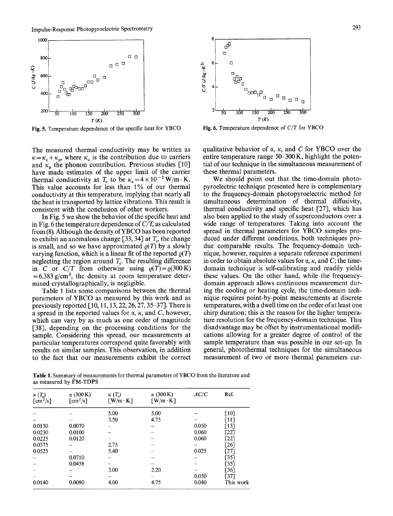

Fig. 5. Temperature dependence of the specific heat for YBCO

The measured thermal conductivity may be written as  $\kappa = \kappa_c + \kappa_p$ , where  $\kappa_c$  is the contribution due to carriers and  $\kappa_p$  the phonon contribution. Previous studies [10] have made estimates of the upper limit of the carrier thermal conductivity at  $T_c$  to be  $\kappa_c = 4 \times 10^{-2}$  W/m·K. This value accounts for less than 1% of our thermal conductivity at this temperature, implying that nearly all the heat is transported by lattice vibrations. This result is consistent with the conclusion of other workers.

In Fig. 5 we show the behavior of the specific heat and in Fig. 6 the temperature dependence of *C/T,* as calculated from (8). Although the density of YBCO has been reported to exhibit an anomalous change [33, 34] at  $T_c$ , the change is small, and so we have approximated  $\rho(T)$  by a slowly varying function, which is a linear fit of the reported  $\rho(T)$ neglecting the region around  $T_c$ . The resulting difference in *C* or *C/T* from otherwise using  $\varrho(T) = \varrho(300 \text{ K})$  $=6.383$  g/cm<sup>3</sup>, the density at room temperature determined crystallographically, is negligible.

Table 1 lists some comparisons between the thermal parameters of YBCO as measured by this work and as previously reported  $[10, 11, 13, 22, 26, 27, 35-37]$ . There is a spread in the reported values for  $\alpha$ ,  $\kappa$ , and C, however, which can vary by as much as one order of magnitude [38], depending on the processing conditions for the sample. Considering this spread, our measurements at particular temperatures correspond quite favorably with results on similar samples. This observation, in addition to the fact that our measurements exhibit the correct



Fig. 6. Temperature dependence of *C/T* for YBCO

qualitative behavior of  $\alpha$ ,  $\kappa$ , and C for YBCO over the entire temperature range 50-300 K, highlight the potential of our technique in the simultaneous measurement of these thermal parameters.

We should point out that the time-domain photopyroelectric technique presented here is complementary to the frequency-domain photopyroelectric method for simultaneous determination of thermal diffusivity, thermal conductivity and specific heat [27], which has also been applied to the study of superconductors over a wide range of temperatures. Taking into account the spread in thermal parameters for YBCO samples produced under different conditions, both techniques produe comparable results. The frequency-domain technique, however, requires a separate reference experiment in order to obtain absolute values for  $\alpha$ ,  $\kappa$ , and C; the timedomain technique is self-calibrating and readily yields these values. On the other hand, while the frequencydomain approach allows continuous measurement during the cooling or heating cycle, the time-domain technique requires point-by-point measurements at discrete temperatures, with a dwell time on the order of at least one chirp duration; this is the reason for the higher temperature resolution for the frequency-domain technique. This disadvantage may be offset by instrumentational modifications allowing for a greater degree of control of the sample temperature than was possible in our set-up. In general, photothermal techniques for the simultaneous measurement of two or more thermal parameters cur-

Table 1. Summary of measurements for thermal parameters of YBCO from the literature and as measured by FM-TDPS

| $\alpha(T_c)$<br>$\lfloor$ cm <sup>2</sup> /s] | $\alpha$ (300 K)<br>$\text{[cm}^2/\text{s}$ | $\kappa(T_c)$<br>$\lceil W/m \cdot K \rceil$ | $\kappa$ (300 K)<br>$\lceil W/m \cdot K \rceil$ | AC/C  | Ref.               |
|------------------------------------------------|---------------------------------------------|----------------------------------------------|-------------------------------------------------|-------|--------------------|
|                                                |                                             |                                              |                                                 |       |                    |
|                                                |                                             | 5.00                                         | 5.00                                            |       | $[10]$             |
|                                                |                                             | 3.50                                         | 4.75                                            | محمد  | $\lceil 11 \rceil$ |
| 0.0130                                         | 0.0070                                      |                                              |                                                 | 0.050 | $[13]$             |
| 0.0230                                         | 0.0100                                      |                                              |                                                 | 0.060 | $[22]$             |
| 0.0225                                         | 0.0120                                      | <b>State</b>                                 |                                                 | 0.060 | [22]               |
| 0.0375                                         |                                             | 2.75                                         |                                                 |       | [26]               |
| 0.0525                                         |                                             | 5.40                                         |                                                 | 0.025 | [27]               |
|                                                | 0.0710                                      |                                              |                                                 |       | [35]               |
|                                                | 0.0458                                      |                                              |                                                 |       | [35]               |
|                                                |                                             | 3.00                                         | 2.20                                            |       | [36]               |
|                                                |                                             |                                              |                                                 | 0.050 | T371               |
| 0.0140                                         | 0.0090                                      | 4.00                                         | 4.75                                            | 0.040 | This work          |
|                                                |                                             |                                              |                                                 |       |                    |